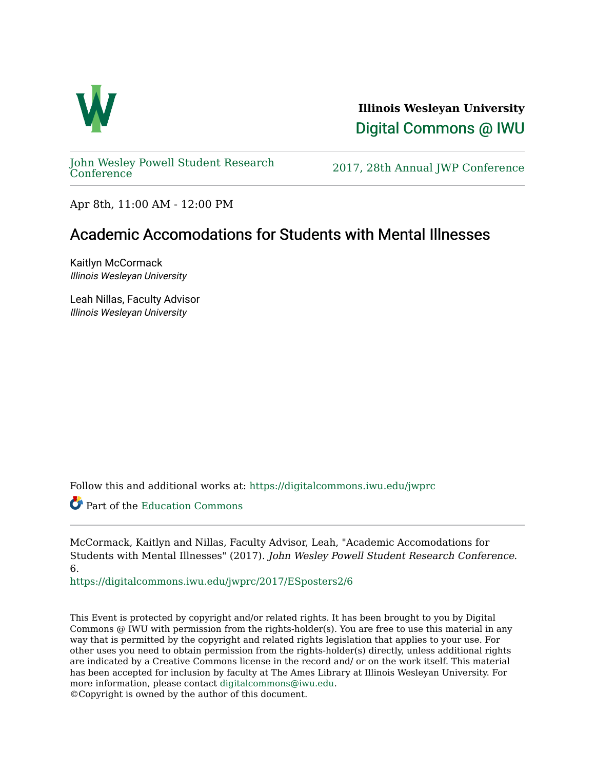

**Illinois Wesleyan University**  [Digital Commons @ IWU](https://digitalcommons.iwu.edu/) 

[John Wesley Powell Student Research](https://digitalcommons.iwu.edu/jwprc) 

2017, 28th Annual JWP [Conference](https://digitalcommons.iwu.edu/jwprc)

Apr 8th, 11:00 AM - 12:00 PM

#### Academic Accomodations for Students with Mental Illnesses

Kaitlyn McCormack Illinois Wesleyan University

Leah Nillas, Faculty Advisor Illinois Wesleyan University

Follow this and additional works at: [https://digitalcommons.iwu.edu/jwprc](https://digitalcommons.iwu.edu/jwprc?utm_source=digitalcommons.iwu.edu%2Fjwprc%2F2017%2FESposters2%2F6&utm_medium=PDF&utm_campaign=PDFCoverPages) 

Part of the [Education Commons](http://network.bepress.com/hgg/discipline/784?utm_source=digitalcommons.iwu.edu%2Fjwprc%2F2017%2FESposters2%2F6&utm_medium=PDF&utm_campaign=PDFCoverPages)

McCormack, Kaitlyn and Nillas, Faculty Advisor, Leah, "Academic Accomodations for Students with Mental Illnesses" (2017). John Wesley Powell Student Research Conference. 6.

[https://digitalcommons.iwu.edu/jwprc/2017/ESposters2/6](https://digitalcommons.iwu.edu/jwprc/2017/ESposters2/6?utm_source=digitalcommons.iwu.edu%2Fjwprc%2F2017%2FESposters2%2F6&utm_medium=PDF&utm_campaign=PDFCoverPages) 

This Event is protected by copyright and/or related rights. It has been brought to you by Digital Commons @ IWU with permission from the rights-holder(s). You are free to use this material in any way that is permitted by the copyright and related rights legislation that applies to your use. For other uses you need to obtain permission from the rights-holder(s) directly, unless additional rights are indicated by a Creative Commons license in the record and/ or on the work itself. This material has been accepted for inclusion by faculty at The Ames Library at Illinois Wesleyan University. For more information, please contact [digitalcommons@iwu.edu](mailto:digitalcommons@iwu.edu).

©Copyright is owned by the author of this document.